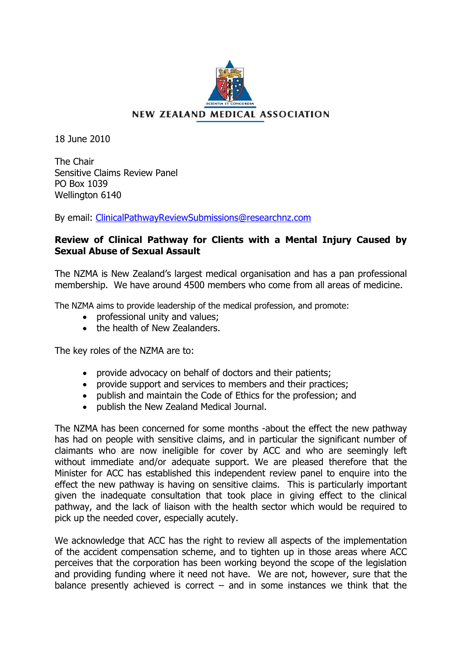

# NEW ZEALAND MEDICAL ASSOCIATION

18 June 2010

The Chair Sensitive Claims Review Panel PO Box 1039 Wellington 6140

By email: [ClinicalPathwayReviewSubmissions@researchnz.com](blocked::mailto:ClinicalPathwayReviewSubmissions@researchnz.com)

# **Review of Clinical Pathway for Clients with a Mental Injury Caused by Sexual Abuse of Sexual Assault**

The NZMA is New Zealand's largest medical organisation and has a pan professional membership. We have around 4500 members who come from all areas of medicine.

The NZMA aims to provide leadership of the medical profession, and promote:

- professional unity and values;
- the health of New Zealanders.

The key roles of the NZMA are to:

- provide advocacy on behalf of doctors and their patients;
- provide support and services to members and their practices;
- publish and maintain the Code of Ethics for the profession; and
- publish the New Zealand Medical Journal.

The NZMA has been concerned for some months -about the effect the new pathway has had on people with sensitive claims, and in particular the significant number of claimants who are now ineligible for cover by ACC and who are seemingly left without immediate and/or adequate support. We are pleased therefore that the Minister for ACC has established this independent review panel to enquire into the effect the new pathway is having on sensitive claims. This is particularly important given the inadequate consultation that took place in giving effect to the clinical pathway, and the lack of liaison with the health sector which would be required to pick up the needed cover, especially acutely.

We acknowledge that ACC has the right to review all aspects of the implementation of the accident compensation scheme, and to tighten up in those areas where ACC perceives that the corporation has been working beyond the scope of the legislation and providing funding where it need not have. We are not, however, sure that the balance presently achieved is correct  $-$  and in some instances we think that the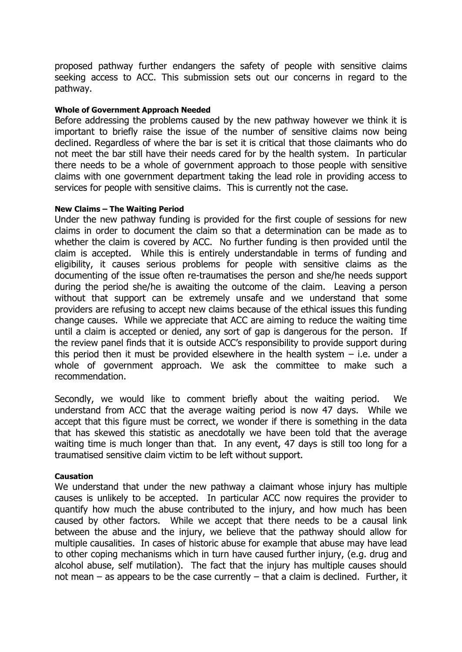proposed pathway further endangers the safety of people with sensitive claims seeking access to ACC. This submission sets out our concerns in regard to the pathway.

#### **Whole of Government Approach Needed**

Before addressing the problems caused by the new pathway however we think it is important to briefly raise the issue of the number of sensitive claims now being declined. Regardless of where the bar is set it is critical that those claimants who do not meet the bar still have their needs cared for by the health system. In particular there needs to be a whole of government approach to those people with sensitive claims with one government department taking the lead role in providing access to services for people with sensitive claims. This is currently not the case.

#### **New Claims – The Waiting Period**

Under the new pathway funding is provided for the first couple of sessions for new claims in order to document the claim so that a determination can be made as to whether the claim is covered by ACC. No further funding is then provided until the claim is accepted. While this is entirely understandable in terms of funding and eligibility, it causes serious problems for people with sensitive claims as the documenting of the issue often re-traumatises the person and she/he needs support during the period she/he is awaiting the outcome of the claim. Leaving a person without that support can be extremely unsafe and we understand that some providers are refusing to accept new claims because of the ethical issues this funding change causes. While we appreciate that ACC are aiming to reduce the waiting time until a claim is accepted or denied, any sort of gap is dangerous for the person. If the review panel finds that it is outside ACC's responsibility to provide support during this period then it must be provided elsewhere in the health system  $-$  i.e. under a whole of government approach. We ask the committee to make such a recommendation.

Secondly, we would like to comment briefly about the waiting period. We understand from ACC that the average waiting period is now 47 days. While we accept that this figure must be correct, we wonder if there is something in the data that has skewed this statistic as anecdotally we have been told that the average waiting time is much longer than that. In any event, 47 days is still too long for a traumatised sensitive claim victim to be left without support.

## **Causation**

We understand that under the new pathway a claimant whose injury has multiple causes is unlikely to be accepted. In particular ACC now requires the provider to quantify how much the abuse contributed to the injury, and how much has been caused by other factors. While we accept that there needs to be a causal link between the abuse and the injury, we believe that the pathway should allow for multiple causalities. In cases of historic abuse for example that abuse may have lead to other coping mechanisms which in turn have caused further injury, (e.g. drug and alcohol abuse, self mutilation). The fact that the injury has multiple causes should not mean – as appears to be the case currently – that a claim is declined. Further, it